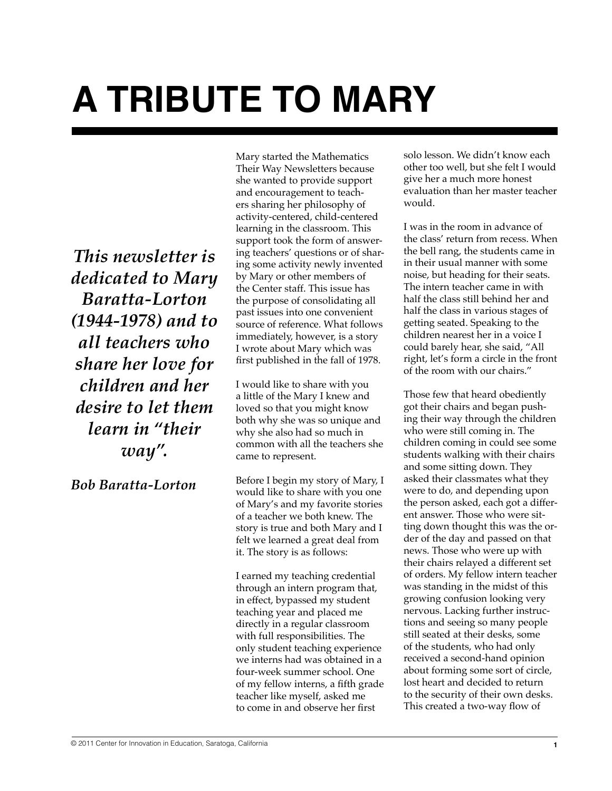## **A TRIBUTE TO MARY**

*This newsletter is dedicated to Mary Baratta-Lorton (1944-1978) and to all teachers who share her love for children and her desire to let them learn in "their way".*

*Bob Baratta-Lorton*

Mary started the Mathematics Their Way Newsletters because she wanted to provide support and encouragement to teachers sharing her philosophy of activity-centered, child-centered learning in the classroom. This support took the form of answering teachers' questions or of sharing some activity newly invented by Mary or other members of the Center staff. This issue has the purpose of consolidating all past issues into one convenient source of reference. What follows immediately, however, is a story I wrote about Mary which was first published in the fall of 1978.

I would like to share with you a little of the Mary I knew and loved so that you might know both why she was so unique and why she also had so much in common with all the teachers she came to represent.

Before I begin my story of Mary, I would like to share with you one of Mary's and my favorite stories of a teacher we both knew. The story is true and both Mary and I felt we learned a great deal from it. The story is as follows:

I earned my teaching credential through an intern program that, in effect, bypassed my student teaching year and placed me directly in a regular classroom with full responsibilities. The only student teaching experience we interns had was obtained in a four-week summer school. One of my fellow interns, a fifth grade teacher like myself, asked me to come in and observe her first

solo lesson. We didn't know each other too well, but she felt I would give her a much more honest evaluation than her master teacher would.

I was in the room in advance of the class' return from recess. When the bell rang, the students came in in their usual manner with some noise, but heading for their seats. The intern teacher came in with half the class still behind her and half the class in various stages of getting seated. Speaking to the children nearest her in a voice I could barely hear, she said, "All right, let's form a circle in the front of the room with our chairs."

Those few that heard obediently got their chairs and began pushing their way through the children who were still coming in. The children coming in could see some students walking with their chairs and some sitting down. They asked their classmates what they were to do, and depending upon the person asked, each got a different answer. Those who were sitting down thought this was the order of the day and passed on that news. Those who were up with their chairs relayed a different set of orders. My fellow intern teacher was standing in the midst of this growing confusion looking very nervous. Lacking further instructions and seeing so many people still seated at their desks, some of the students, who had only received a second-hand opinion about forming some sort of circle, lost heart and decided to return to the security of their own desks. This created a two-way flow of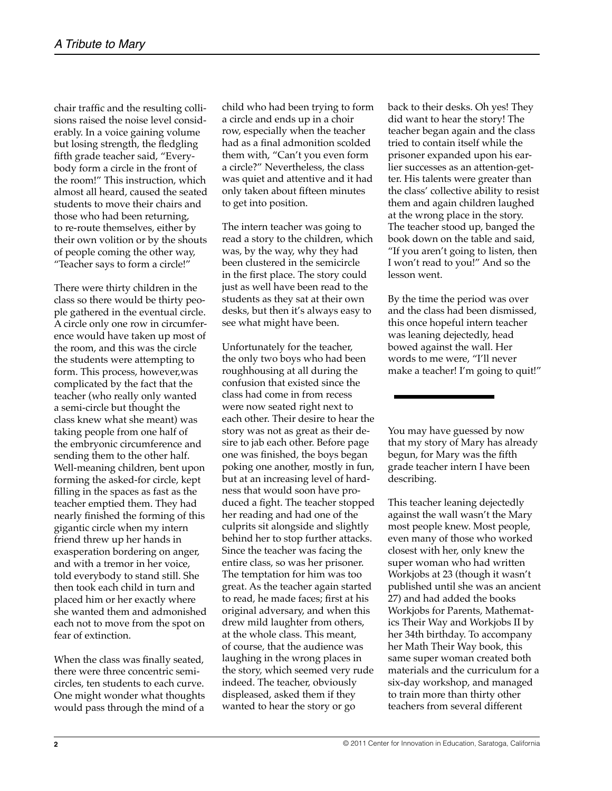chair traffic and the resulting collisions raised the noise level considerably. In a voice gaining volume but losing strength, the fledgling fifth grade teacher said, "Everybody form a circle in the front of the room!" This instruction, which almost all heard, caused the seated students to move their chairs and those who had been returning, to re-route themselves, either by their own volition or by the shouts of people coming the other way, "Teacher says to form a circle!"

There were thirty children in the class so there would be thirty people gathered in the eventual circle. A circle only one row in circumference would have taken up most of the room, and this was the circle the students were attempting to form. This process, however,was complicated by the fact that the teacher (who really only wanted a semi-circle but thought the class knew what she meant) was taking people from one half of the embryonic circumference and sending them to the other half. Well-meaning children, bent upon forming the asked-for circle, kept filling in the spaces as fast as the teacher emptied them. They had nearly finished the forming of this gigantic circle when my intern friend threw up her hands in exasperation bordering on anger, and with a tremor in her voice, told everybody to stand still. She then took each child in turn and placed him or her exactly where she wanted them and admonished each not to move from the spot on fear of extinction.

When the class was finally seated, there were three concentric semicircles, ten students to each curve. One might wonder what thoughts would pass through the mind of a

child who had been trying to form a circle and ends up in a choir row, especially when the teacher had as a final admonition scolded them with, "Can't you even form a circle?" Nevertheless, the class was quiet and attentive and it had only taken about fifteen minutes to get into position.

The intern teacher was going to read a story to the children, which was, by the way, why they had been clustered in the semicircle in the first place. The story could just as well have been read to the students as they sat at their own desks, but then it's always easy to see what might have been.

Unfortunately for the teacher, the only two boys who had been roughhousing at all during the confusion that existed since the class had come in from recess were now seated right next to each other. Their desire to hear the story was not as great as their desire to jab each other. Before page one was finished, the boys began poking one another, mostly in fun, but at an increasing level of hardness that would soon have produced a fight. The teacher stopped her reading and had one of the culprits sit alongside and slightly behind her to stop further attacks. Since the teacher was facing the entire class, so was her prisoner. The temptation for him was too great. As the teacher again started to read, he made faces; first at his original adversary, and when this drew mild laughter from others, at the whole class. This meant, of course, that the audience was laughing in the wrong places in the story, which seemed very rude indeed. The teacher, obviously displeased, asked them if they wanted to hear the story or go

back to their desks. Oh yes! They did want to hear the story! The teacher began again and the class tried to contain itself while the prisoner expanded upon his earlier successes as an attention-getter. His talents were greater than the class' collective ability to resist them and again children laughed at the wrong place in the story. The teacher stood up, banged the book down on the table and said, "If you aren't going to listen, then I won't read to you!" And so the lesson went.

By the time the period was over and the class had been dismissed, this once hopeful intern teacher was leaning dejectedly, head bowed against the wall. Her words to me were, "I'll never make a teacher! I'm going to quit!"

You may have guessed by now that my story of Mary has already begun, for Mary was the fifth grade teacher intern I have been describing.

This teacher leaning dejectedly against the wall wasn't the Mary most people knew. Most people, even many of those who worked closest with her, only knew the super woman who had written Workjobs at 23 (though it wasn't published until she was an ancient 27) and had added the books Workjobs for Parents, Mathematics Their Way and Workjobs II by her 34th birthday. To accompany her Math Their Way book, this same super woman created both materials and the curriculum for a six-day workshop, and managed to train more than thirty other teachers from several different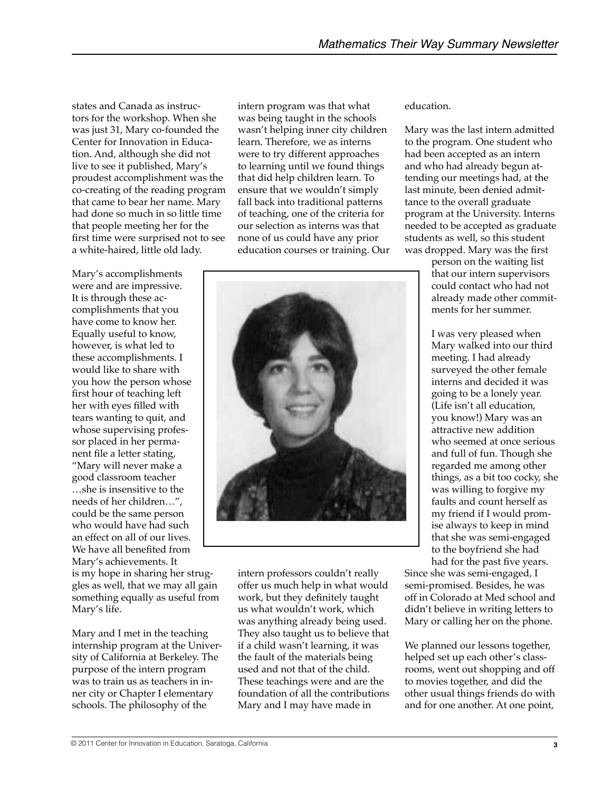states and Canada as instructors for the workshop. When she was just 31, Mary co-founded the Center for Innovation in Education. And, although she did not live to see it published, Mary's proudest accomplishment was the co-creating of the reading program that came to bear her name. Mary had done so much in so little time that people meeting her for the first time were surprised not to see a white-haired, little old lady.

Mary's accomplishments were and are impressive. It is through these accomplishments that you have come to know her. Equally useful to know, however, is what led to these accomplishments. I would like to share with you how the person whose first hour of teaching left her with eyes filled with tears wanting to quit, and whose supervising professor placed in her permanent file a letter stating, "Mary will never make a good classroom teacher …she is insensitive to the needs of her children…", could be the same person who would have had such an effect on all of our lives. We have all benefited from Mary's achievements. It is my hope in sharing her struggles as well, that we may all gain something equally as useful from Mary's life.

Mary and I met in the teaching internship program at the University of California at Berkeley. The purpose of the intern program was to train us as teachers in inner city or Chapter I elementary schools. The philosophy of the

intern program was that what was being taught in the schools wasn't helping inner city children learn. Therefore, we as interns were to try different approaches to learning until we found things that did help children learn. To ensure that we wouldn't simply fall back into traditional patterns of teaching, one of the criteria for our selection as interns was that none of us could have any prior education courses or training. Our



intern professors couldn't really offer us much help in what would work, but they definitely taught us what wouldn't work, which was anything already being used. They also taught us to believe that if a child wasn't learning, it was the fault of the materials being used and not that of the child. These teachings were and are the foundation of all the contributions Mary and I may have made in

education.

Mary was the last intern admitted to the program. One student who had been accepted as an intern and who had already begun attending our meetings had, at the last minute, been denied admittance to the overall graduate program at the University. Interns needed to be accepted as graduate students as well, so this student was dropped. Mary was the first

> person on the waiting list that our intern supervisors could contact who had not already made other commitments for her summer.

I was very pleased when Mary walked into our third meeting. I had already surveyed the other female interns and decided it was going to be a lonely year. (Life isn't all education, you know!) Mary was an attractive new addition who seemed at once serious and full of fun. Though she regarded me among other things, as a bit too cocky, she was willing to forgive my faults and count herself as my friend if I would promise always to keep in mind that she was semi-engaged to the boyfriend she had had for the past five years.

Since she was semi-engaged, I semi-promised. Besides, he was off in Colorado at Med school and didn't believe in writing letters to Mary or calling her on the phone.

We planned our lessons together, helped set up each other's classrooms, went out shopping and off to movies together, and did the other usual things friends do with and for one another. At one point,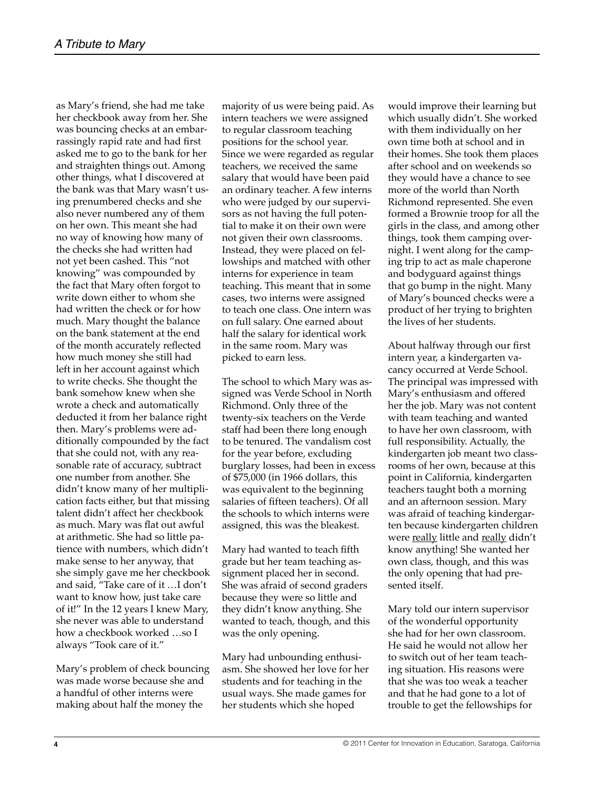as Mary's friend, she had me take her checkbook away from her. She was bouncing checks at an embarrassingly rapid rate and had first asked me to go to the bank for her and straighten things out. Among other things, what I discovered at the bank was that Mary wasn't using prenumbered checks and she also never numbered any of them on her own. This meant she had no way of knowing how many of the checks she had written had not yet been cashed. This "not knowing" was compounded by the fact that Mary often forgot to write down either to whom she had written the check or for how much. Mary thought the balance on the bank statement at the end of the month accurately reflected how much money she still had left in her account against which to write checks. She thought the bank somehow knew when she wrote a check and automatically deducted it from her balance right then. Mary's problems were additionally compounded by the fact that she could not, with any reasonable rate of accuracy, subtract one number from another. She didn't know many of her multiplication facts either, but that missing talent didn't affect her checkbook as much. Mary was flat out awful at arithmetic. She had so little patience with numbers, which didn't make sense to her anyway, that she simply gave me her checkbook and said, "Take care of it …I don't want to know how, just take care of it!" In the 12 years I knew Mary, she never was able to understand how a checkbook worked …so I always "Took care of it."

Mary's problem of check bouncing was made worse because she and a handful of other interns were making about half the money the

majority of us were being paid. As intern teachers we were assigned to regular classroom teaching positions for the school year. Since we were regarded as regular teachers, we received the same salary that would have been paid an ordinary teacher. A few interns who were judged by our supervisors as not having the full potential to make it on their own were not given their own classrooms. Instead, they were placed on fellowships and matched with other interns for experience in team teaching. This meant that in some cases, two interns were assigned to teach one class. One intern was on full salary. One earned about half the salary for identical work in the same room. Mary was picked to earn less.

The school to which Mary was assigned was Verde School in North Richmond. Only three of the twenty-six teachers on the Verde staff had been there long enough to be tenured. The vandalism cost for the year before, excluding burglary losses, had been in excess of \$75,000 (in 1966 dollars, this was equivalent to the beginning salaries of fifteen teachers). Of all the schools to which interns were assigned, this was the bleakest.

Mary had wanted to teach fifth grade but her team teaching assignment placed her in second. She was afraid of second graders because they were so little and they didn't know anything. She wanted to teach, though, and this was the only opening.

Mary had unbounding enthusiasm. She showed her love for her students and for teaching in the usual ways. She made games for her students which she hoped

would improve their learning but which usually didn't. She worked with them individually on her own time both at school and in their homes. She took them places after school and on weekends so they would have a chance to see more of the world than North Richmond represented. She even formed a Brownie troop for all the girls in the class, and among other things, took them camping overnight. I went along for the camping trip to act as male chaperone and bodyguard against things that go bump in the night. Many of Mary's bounced checks were a product of her trying to brighten the lives of her students.

About halfway through our first intern year, a kindergarten vacancy occurred at Verde School. The principal was impressed with Mary's enthusiasm and offered her the job. Mary was not content with team teaching and wanted to have her own classroom, with full responsibility. Actually, the kindergarten job meant two classrooms of her own, because at this point in California, kindergarten teachers taught both a morning and an afternoon session. Mary was afraid of teaching kindergarten because kindergarten children were really little and really didn't know anything! She wanted her own class, though, and this was the only opening that had presented itself.

Mary told our intern supervisor of the wonderful opportunity she had for her own classroom. He said he would not allow her to switch out of her team teaching situation. His reasons were that she was too weak a teacher and that he had gone to a lot of trouble to get the fellowships for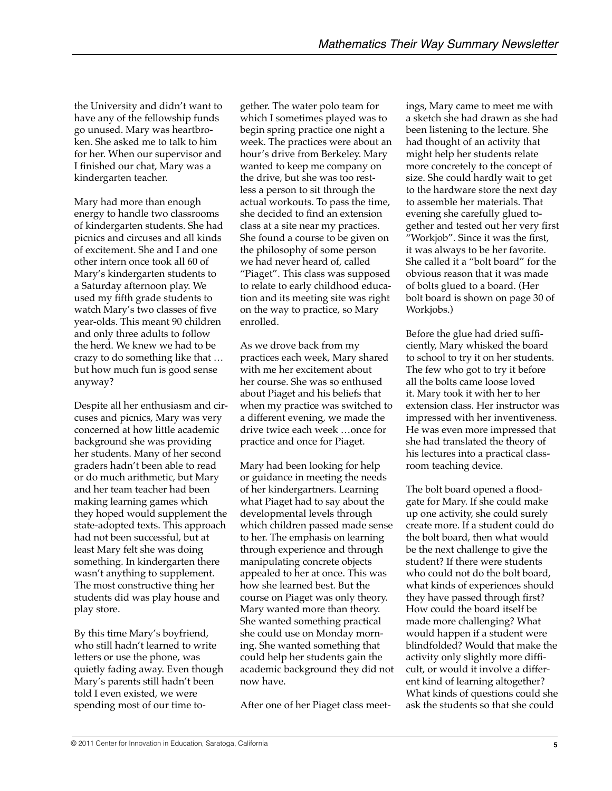the University and didn't want to have any of the fellowship funds go unused. Mary was heartbroken. She asked me to talk to him for her. When our supervisor and I finished our chat, Mary was a kindergarten teacher.

Mary had more than enough energy to handle two classrooms of kindergarten students. She had picnics and circuses and all kinds of excitement. She and I and one other intern once took all 60 of Mary's kindergarten students to a Saturday afternoon play. We used my fifth grade students to watch Mary's two classes of five year-olds. This meant 90 children and only three adults to follow the herd. We knew we had to be crazy to do something like that … but how much fun is good sense anyway?

Despite all her enthusiasm and circuses and picnics, Mary was very concerned at how little academic background she was providing her students. Many of her second graders hadn't been able to read or do much arithmetic, but Mary and her team teacher had been making learning games which they hoped would supplement the state-adopted texts. This approach had not been successful, but at least Mary felt she was doing something. In kindergarten there wasn't anything to supplement. The most constructive thing her students did was play house and play store.

By this time Mary's boyfriend, who still hadn't learned to write letters or use the phone, was quietly fading away. Even though Mary's parents still hadn't been told I even existed, we were spending most of our time to-

gether. The water polo team for which I sometimes played was to begin spring practice one night a week. The practices were about an hour's drive from Berkeley. Mary wanted to keep me company on the drive, but she was too restless a person to sit through the actual workouts. To pass the time, she decided to find an extension class at a site near my practices. She found a course to be given on the philosophy of some person we had never heard of, called "Piaget". This class was supposed to relate to early childhood education and its meeting site was right on the way to practice, so Mary enrolled.

As we drove back from my practices each week, Mary shared with me her excitement about her course. She was so enthused about Piaget and his beliefs that when my practice was switched to a different evening, we made the drive twice each week …once for practice and once for Piaget.

Mary had been looking for help or guidance in meeting the needs of her kindergartners. Learning what Piaget had to say about the developmental levels through which children passed made sense to her. The emphasis on learning through experience and through manipulating concrete objects appealed to her at once. This was how she learned best. But the course on Piaget was only theory. Mary wanted more than theory. She wanted something practical she could use on Monday morning. She wanted something that could help her students gain the academic background they did not now have.

After one of her Piaget class meet-

ings, Mary came to meet me with a sketch she had drawn as she had been listening to the lecture. She had thought of an activity that might help her students relate more concretely to the concept of size. She could hardly wait to get to the hardware store the next day to assemble her materials. That evening she carefully glued together and tested out her very first "Workjob". Since it was the first, it was always to be her favorite. She called it a "bolt board" for the obvious reason that it was made of bolts glued to a board. (Her bolt board is shown on page 30 of Workjobs.)

Before the glue had dried sufficiently, Mary whisked the board to school to try it on her students. The few who got to try it before all the bolts came loose loved it. Mary took it with her to her extension class. Her instructor was impressed with her inventiveness. He was even more impressed that she had translated the theory of his lectures into a practical classroom teaching device.

The bolt board opened a floodgate for Mary. If she could make up one activity, she could surely create more. If a student could do the bolt board, then what would be the next challenge to give the student? If there were students who could not do the bolt board. what kinds of experiences should they have passed through first? How could the board itself be made more challenging? What would happen if a student were blindfolded? Would that make the activity only slightly more difficult, or would it involve a different kind of learning altogether? What kinds of questions could she ask the students so that she could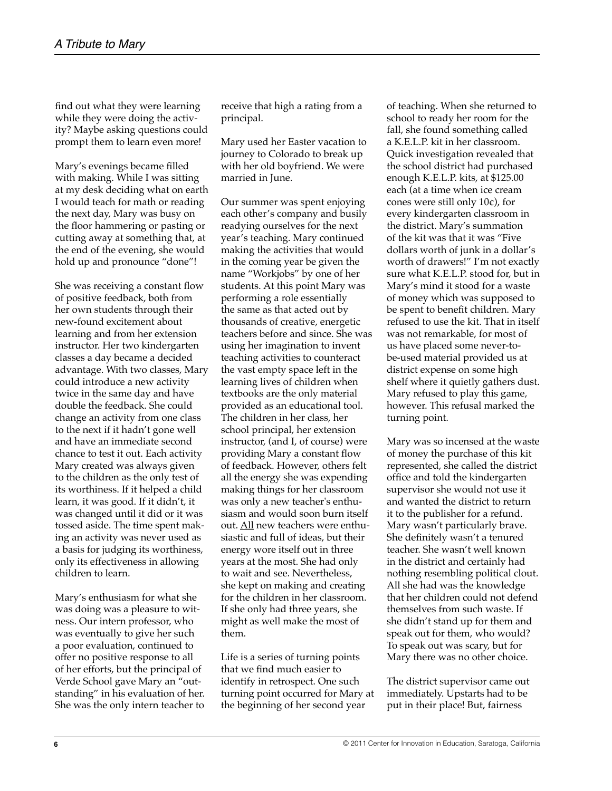find out what they were learning while they were doing the activity? Maybe asking questions could prompt them to learn even more!

Mary's evenings became filled with making. While I was sitting at my desk deciding what on earth I would teach for math or reading the next day, Mary was busy on the floor hammering or pasting or cutting away at something that, at the end of the evening, she would hold up and pronounce "done"!

She was receiving a constant flow of positive feedback, both from her own students through their new-found excitement about learning and from her extension instructor. Her two kindergarten classes a day became a decided advantage. With two classes, Mary could introduce a new activity twice in the same day and have double the feedback. She could change an activity from one class to the next if it hadn't gone well and have an immediate second chance to test it out. Each activity Mary created was always given to the children as the only test of its worthiness. If it helped a child learn, it was good. If it didn't, it was changed until it did or it was tossed aside. The time spent making an activity was never used as a basis for judging its worthiness, only its effectiveness in allowing children to learn.

Mary's enthusiasm for what she was doing was a pleasure to witness. Our intern professor, who was eventually to give her such a poor evaluation, continued to offer no positive response to all of her efforts, but the principal of Verde School gave Mary an "outstanding" in his evaluation of her. She was the only intern teacher to receive that high a rating from a principal.

Mary used her Easter vacation to journey to Colorado to break up with her old boyfriend. We were married in June.

Our summer was spent enjoying each other's company and busily readying ourselves for the next year's teaching. Mary continued making the activities that would in the coming year be given the name "Workjobs" by one of her students. At this point Mary was performing a role essentially the same as that acted out by thousands of creative, energetic teachers before and since. She was using her imagination to invent teaching activities to counteract the vast empty space left in the learning lives of children when textbooks are the only material provided as an educational tool. The children in her class, her school principal, her extension instructor, (and I, of course) were providing Mary a constant flow of feedback. However, others felt all the energy she was expending making things for her classroom was only a new teacher's enthusiasm and would soon burn itself out. All new teachers were enthusiastic and full of ideas, but their energy wore itself out in three years at the most. She had only to wait and see. Nevertheless, she kept on making and creating for the children in her classroom. If she only had three years, she might as well make the most of them.

Life is a series of turning points that we find much easier to identify in retrospect. One such turning point occurred for Mary at the beginning of her second year

of teaching. When she returned to school to ready her room for the fall, she found something called a K.E.L.P. kit in her classroom. Quick investigation revealed that the school district had purchased enough K.E.L.P. kits, at \$125.00 each (at a time when ice cream cones were still only 10¢), for every kindergarten classroom in the district. Mary's summation of the kit was that it was "Five dollars worth of junk in a dollar's worth of drawers!" I'm not exactly sure what K.E.L.P. stood for, but in Mary's mind it stood for a waste of money which was supposed to be spent to benefit children. Mary refused to use the kit. That in itself was not remarkable, for most of us have placed some never-tobe-used material provided us at district expense on some high shelf where it quietly gathers dust. Mary refused to play this game, however. This refusal marked the turning point.

Mary was so incensed at the waste of money the purchase of this kit represented, she called the district office and told the kindergarten supervisor she would not use it and wanted the district to return it to the publisher for a refund. Mary wasn't particularly brave. She definitely wasn't a tenured teacher. She wasn't well known in the district and certainly had nothing resembling political clout. All she had was the knowledge that her children could not defend themselves from such waste. If she didn't stand up for them and speak out for them, who would? To speak out was scary, but for Mary there was no other choice.

The district supervisor came out immediately. Upstarts had to be put in their place! But, fairness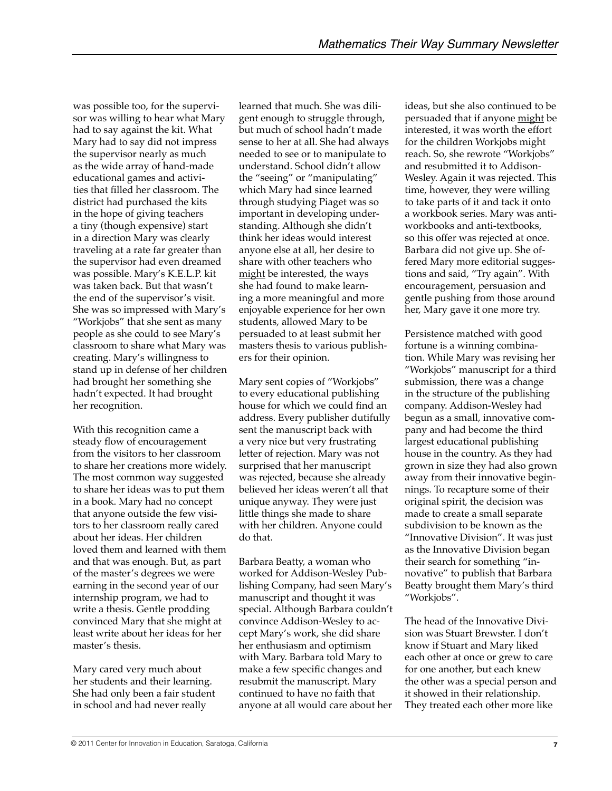was possible too, for the supervisor was willing to hear what Mary had to say against the kit. What Mary had to say did not impress the supervisor nearly as much as the wide array of hand-made educational games and activities that filled her classroom. The district had purchased the kits in the hope of giving teachers a tiny (though expensive) start in a direction Mary was clearly traveling at a rate far greater than the supervisor had even dreamed was possible. Mary's K.E.L.P. kit was taken back. But that wasn't the end of the supervisor's visit. She was so impressed with Mary's "Workjobs" that she sent as many people as she could to see Mary's classroom to share what Mary was creating. Mary's willingness to stand up in defense of her children had brought her something she hadn't expected. It had brought her recognition.

With this recognition came a steady flow of encouragement from the visitors to her classroom to share her creations more widely. The most common way suggested to share her ideas was to put them in a book. Mary had no concept that anyone outside the few visitors to her classroom really cared about her ideas. Her children loved them and learned with them and that was enough. But, as part of the master's degrees we were earning in the second year of our internship program, we had to write a thesis. Gentle prodding convinced Mary that she might at least write about her ideas for her master's thesis.

Mary cared very much about her students and their learning. She had only been a fair student in school and had never really

learned that much. She was diligent enough to struggle through, but much of school hadn't made sense to her at all. She had always needed to see or to manipulate to understand. School didn't allow the "seeing" or "manipulating" which Mary had since learned through studying Piaget was so important in developing understanding. Although she didn't think her ideas would interest anyone else at all, her desire to share with other teachers who might be interested, the ways she had found to make learning a more meaningful and more enjoyable experience for her own students, allowed Mary to be persuaded to at least submit her masters thesis to various publishers for their opinion.

Mary sent copies of "Workjobs" to every educational publishing house for which we could find an address. Every publisher dutifully sent the manuscript back with a very nice but very frustrating letter of rejection. Mary was not surprised that her manuscript was rejected, because she already believed her ideas weren't all that unique anyway. They were just little things she made to share with her children. Anyone could do that.

Barbara Beatty, a woman who worked for Addison-Wesley Publishing Company, had seen Mary's manuscript and thought it was special. Although Barbara couldn't convince Addison-Wesley to accept Mary's work, she did share her enthusiasm and optimism with Mary. Barbara told Mary to make a few specific changes and resubmit the manuscript. Mary continued to have no faith that anyone at all would care about her

ideas, but she also continued to be persuaded that if anyone might be interested, it was worth the effort for the children Workjobs might reach. So, she rewrote "Workjobs" and resubmitted it to Addison-Wesley. Again it was rejected. This time, however, they were willing to take parts of it and tack it onto a workbook series. Mary was antiworkbooks and anti-textbooks, so this offer was rejected at once. Barbara did not give up. She offered Mary more editorial suggestions and said, "Try again". With encouragement, persuasion and gentle pushing from those around her, Mary gave it one more try.

Persistence matched with good fortune is a winning combination. While Mary was revising her "Workjobs" manuscript for a third submission, there was a change in the structure of the publishing company. Addison-Wesley had begun as a small, innovative company and had become the third largest educational publishing house in the country. As they had grown in size they had also grown away from their innovative beginnings. To recapture some of their original spirit, the decision was made to create a small separate subdivision to be known as the "Innovative Division". It was just as the Innovative Division began their search for something "innovative" to publish that Barbara Beatty brought them Mary's third "Workjobs".

The head of the Innovative Division was Stuart Brewster. I don't know if Stuart and Mary liked each other at once or grew to care for one another, but each knew the other was a special person and it showed in their relationship. They treated each other more like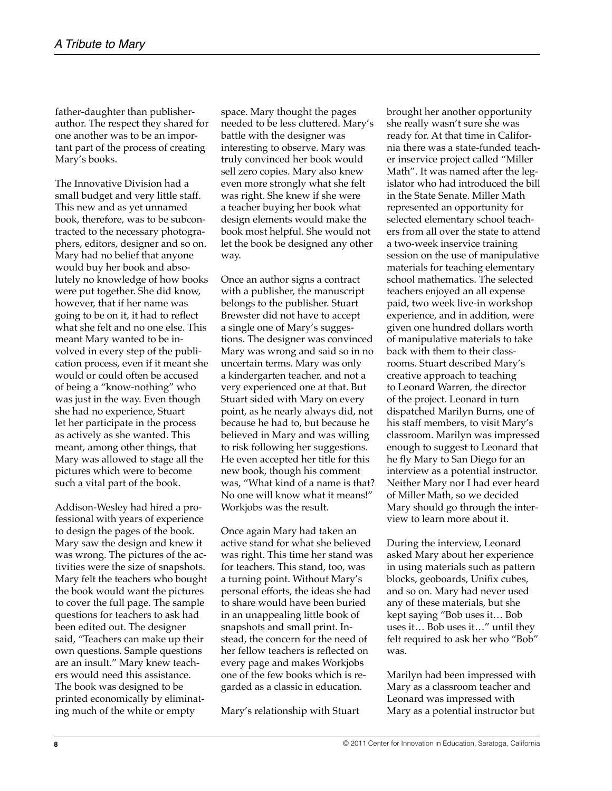father-daughter than publisherauthor. The respect they shared for one another was to be an important part of the process of creating Mary's books.

The Innovative Division had a small budget and very little staff. This new and as yet unnamed book, therefore, was to be subcontracted to the necessary photographers, editors, designer and so on. Mary had no belief that anyone would buy her book and absolutely no knowledge of how books were put together. She did know, however, that if her name was going to be on it, it had to reflect what she felt and no one else. This meant Mary wanted to be involved in every step of the publication process, even if it meant she would or could often be accused of being a "know-nothing" who was just in the way. Even though she had no experience, Stuart let her participate in the process as actively as she wanted. This meant, among other things, that Mary was allowed to stage all the pictures which were to become such a vital part of the book.

Addison-Wesley had hired a professional with years of experience to design the pages of the book. Mary saw the design and knew it was wrong. The pictures of the activities were the size of snapshots. Mary felt the teachers who bought the book would want the pictures to cover the full page. The sample questions for teachers to ask had been edited out. The designer said, "Teachers can make up their own questions. Sample questions are an insult." Mary knew teachers would need this assistance. The book was designed to be printed economically by eliminating much of the white or empty

space. Mary thought the pages needed to be less cluttered. Mary's battle with the designer was interesting to observe. Mary was truly convinced her book would sell zero copies. Mary also knew even more strongly what she felt was right. She knew if she were a teacher buying her book what design elements would make the book most helpful. She would not let the book be designed any other way.

Once an author signs a contract with a publisher, the manuscript belongs to the publisher. Stuart Brewster did not have to accept a single one of Mary's suggestions. The designer was convinced Mary was wrong and said so in no uncertain terms. Mary was only a kindergarten teacher, and not a very experienced one at that. But Stuart sided with Mary on every point, as he nearly always did, not because he had to, but because he believed in Mary and was willing to risk following her suggestions. He even accepted her title for this new book, though his comment was, "What kind of a name is that? No one will know what it means!" Workjobs was the result.

Once again Mary had taken an active stand for what she believed was right. This time her stand was for teachers. This stand, too, was a turning point. Without Mary's personal efforts, the ideas she had to share would have been buried in an unappealing little book of snapshots and small print. Instead, the concern for the need of her fellow teachers is reflected on every page and makes Workjobs one of the few books which is regarded as a classic in education.

Mary's relationship with Stuart

brought her another opportunity she really wasn't sure she was ready for. At that time in California there was a state-funded teacher inservice project called "Miller Math". It was named after the legislator who had introduced the bill in the State Senate. Miller Math represented an opportunity for selected elementary school teachers from all over the state to attend a two-week inservice training session on the use of manipulative materials for teaching elementary school mathematics. The selected teachers enjoyed an all expense paid, two week live-in workshop experience, and in addition, were given one hundred dollars worth of manipulative materials to take back with them to their classrooms. Stuart described Mary's creative approach to teaching to Leonard Warren, the director of the project. Leonard in turn dispatched Marilyn Burns, one of his staff members, to visit Mary's classroom. Marilyn was impressed enough to suggest to Leonard that he fly Mary to San Diego for an interview as a potential instructor. Neither Mary nor I had ever heard of Miller Math, so we decided Mary should go through the interview to learn more about it.

During the interview, Leonard asked Mary about her experience in using materials such as pattern blocks, geoboards, Unifix cubes, and so on. Mary had never used any of these materials, but she kept saying "Bob uses it… Bob uses it… Bob uses it…" until they felt required to ask her who "Bob" was.

Marilyn had been impressed with Mary as a classroom teacher and Leonard was impressed with Mary as a potential instructor but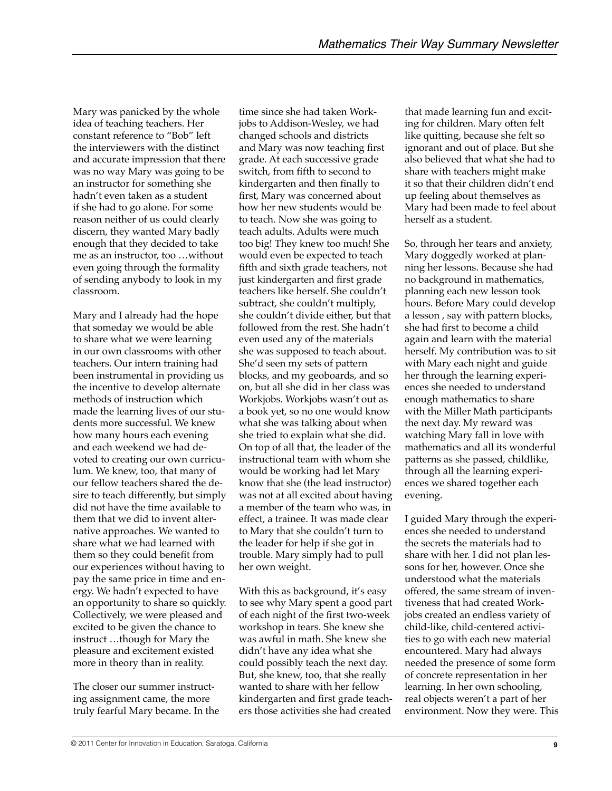Mary was panicked by the whole idea of teaching teachers. Her constant reference to "Bob" left the interviewers with the distinct and accurate impression that there was no way Mary was going to be an instructor for something she hadn't even taken as a student if she had to go alone. For some reason neither of us could clearly discern, they wanted Mary badly enough that they decided to take me as an instructor, too …without even going through the formality of sending anybody to look in my classroom.

Mary and I already had the hope that someday we would be able to share what we were learning in our own classrooms with other teachers. Our intern training had been instrumental in providing us the incentive to develop alternate methods of instruction which made the learning lives of our students more successful. We knew how many hours each evening and each weekend we had devoted to creating our own curriculum. We knew, too, that many of our fellow teachers shared the desire to teach differently, but simply did not have the time available to them that we did to invent alternative approaches. We wanted to share what we had learned with them so they could benefit from our experiences without having to pay the same price in time and energy. We hadn't expected to have an opportunity to share so quickly. Collectively, we were pleased and excited to be given the chance to instruct …though for Mary the pleasure and excitement existed more in theory than in reality.

The closer our summer instructing assignment came, the more truly fearful Mary became. In the

time since she had taken Workjobs to Addison-Wesley, we had changed schools and districts and Mary was now teaching first grade. At each successive grade switch, from fifth to second to kindergarten and then finally to first, Mary was concerned about how her new students would be to teach. Now she was going to teach adults. Adults were much too big! They knew too much! She would even be expected to teach fifth and sixth grade teachers, not just kindergarten and first grade teachers like herself. She couldn't subtract, she couldn't multiply, she couldn't divide either, but that followed from the rest. She hadn't even used any of the materials she was supposed to teach about. She'd seen my sets of pattern blocks, and my geoboards, and so on, but all she did in her class was Workjobs. Workjobs wasn't out as a book yet, so no one would know what she was talking about when she tried to explain what she did. On top of all that, the leader of the instructional team with whom she would be working had let Mary know that she (the lead instructor) was not at all excited about having a member of the team who was, in effect, a trainee. It was made clear to Mary that she couldn't turn to the leader for help if she got in trouble. Mary simply had to pull her own weight.

With this as background, it's easy to see why Mary spent a good part of each night of the first two-week workshop in tears. She knew she was awful in math. She knew she didn't have any idea what she could possibly teach the next day. But, she knew, too, that she really wanted to share with her fellow kindergarten and first grade teachers those activities she had created

that made learning fun and exciting for children. Mary often felt like quitting, because she felt so ignorant and out of place. But she also believed that what she had to share with teachers might make it so that their children didn't end up feeling about themselves as Mary had been made to feel about herself as a student.

So, through her tears and anxiety, Mary doggedly worked at planning her lessons. Because she had no background in mathematics, planning each new lesson took hours. Before Mary could develop a lesson , say with pattern blocks, she had first to become a child again and learn with the material herself. My contribution was to sit with Mary each night and guide her through the learning experiences she needed to understand enough mathematics to share with the Miller Math participants the next day. My reward was watching Mary fall in love with mathematics and all its wonderful patterns as she passed, childlike, through all the learning experiences we shared together each evening.

I guided Mary through the experiences she needed to understand the secrets the materials had to share with her. I did not plan lessons for her, however. Once she understood what the materials offered, the same stream of inventiveness that had created Workjobs created an endless variety of child-like, child-centered activities to go with each new material encountered. Mary had always needed the presence of some form of concrete representation in her learning. In her own schooling, real objects weren't a part of her environment. Now they were. This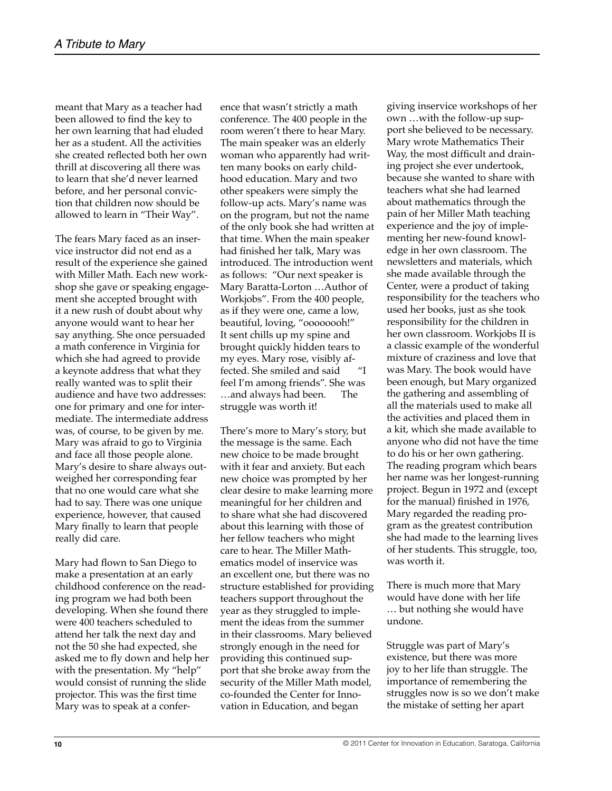meant that Mary as a teacher had been allowed to find the key to her own learning that had eluded her as a student. All the activities she created reflected both her own thrill at discovering all there was to learn that she'd never learned before, and her personal conviction that children now should be allowed to learn in "Their Way".

The fears Mary faced as an inservice instructor did not end as a result of the experience she gained with Miller Math. Each new workshop she gave or speaking engagement she accepted brought with it a new rush of doubt about why anyone would want to hear her say anything. She once persuaded a math conference in Virginia for which she had agreed to provide a keynote address that what they really wanted was to split their audience and have two addresses: one for primary and one for intermediate. The intermediate address was, of course, to be given by me. Mary was afraid to go to Virginia and face all those people alone. Mary's desire to share always outweighed her corresponding fear that no one would care what she had to say. There was one unique experience, however, that caused Mary finally to learn that people really did care.

Mary had flown to San Diego to make a presentation at an early childhood conference on the reading program we had both been developing. When she found there were 400 teachers scheduled to attend her talk the next day and not the 50 she had expected, she asked me to fly down and help her with the presentation. My "help" would consist of running the slide projector. This was the first time Mary was to speak at a conference that wasn't strictly a math conference. The 400 people in the room weren't there to hear Mary. The main speaker was an elderly woman who apparently had written many books on early childhood education. Mary and two other speakers were simply the follow-up acts. Mary's name was on the program, but not the name of the only book she had written at that time. When the main speaker had finished her talk, Mary was introduced. The introduction went as follows: "Our next speaker is Mary Baratta-Lorton …Author of Workjobs". From the 400 people, as if they were one, came a low, beautiful, loving, "oooooooh!" It sent chills up my spine and brought quickly hidden tears to my eyes. Mary rose, visibly affected. She smiled and said "I feel I'm among friends". She was …and always had been. The struggle was worth it!

There's more to Mary's story, but the message is the same. Each new choice to be made brought with it fear and anxiety. But each new choice was prompted by her clear desire to make learning more meaningful for her children and to share what she had discovered about this learning with those of her fellow teachers who might care to hear. The Miller Mathematics model of inservice was an excellent one, but there was no structure established for providing teachers support throughout the year as they struggled to implement the ideas from the summer in their classrooms. Mary believed strongly enough in the need for providing this continued support that she broke away from the security of the Miller Math model, co-founded the Center for Innovation in Education, and began

giving inservice workshops of her own …with the follow-up support she believed to be necessary. Mary wrote Mathematics Their Way, the most difficult and draining project she ever undertook, because she wanted to share with teachers what she had learned about mathematics through the pain of her Miller Math teaching experience and the joy of implementing her new-found knowledge in her own classroom. The newsletters and materials, which she made available through the Center, were a product of taking responsibility for the teachers who used her books, just as she took responsibility for the children in her own classroom. Workjobs II is a classic example of the wonderful mixture of craziness and love that was Mary. The book would have been enough, but Mary organized the gathering and assembling of all the materials used to make all the activities and placed them in a kit, which she made available to anyone who did not have the time to do his or her own gathering. The reading program which bears her name was her longest-running project. Begun in 1972 and (except for the manual) finished in 1976, Mary regarded the reading program as the greatest contribution she had made to the learning lives of her students. This struggle, too, was worth it.

There is much more that Mary would have done with her life … but nothing she would have undone.

Struggle was part of Mary's existence, but there was more joy to her life than struggle. The importance of remembering the struggles now is so we don't make the mistake of setting her apart